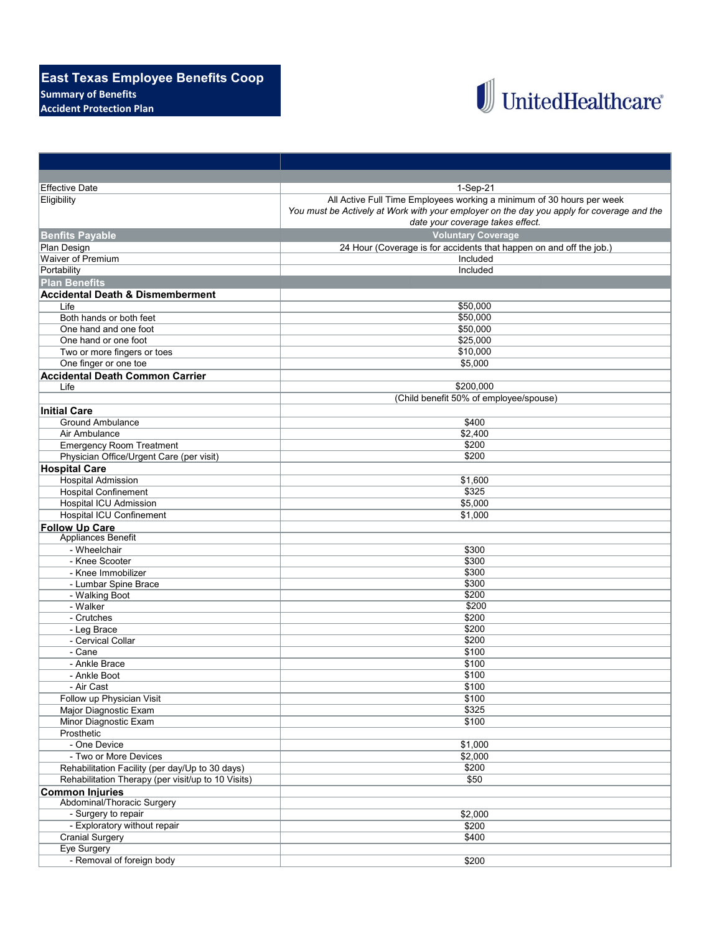# **East Texas Employee Benefits Coop Summary of Benefits Accident Protection Plan**



| <b>Effective Date</b>                              | 1-Sep-21                                                                                  |
|----------------------------------------------------|-------------------------------------------------------------------------------------------|
| Eligibility                                        | All Active Full Time Employees working a minimum of 30 hours per week                     |
|                                                    | You must be Actively at Work with your employer on the day you apply for coverage and the |
|                                                    | date your coverage takes effect.                                                          |
| <b>Benfits Payable</b>                             | <b>Voluntary Coverage</b>                                                                 |
| Plan Design                                        | 24 Hour (Coverage is for accidents that happen on and off the job.)                       |
| <b>Waiver of Premium</b>                           | Included                                                                                  |
| Portability                                        | Included                                                                                  |
| <b>Plan Benefits</b>                               |                                                                                           |
| <b>Accidental Death &amp; Dismemberment</b>        |                                                                                           |
| Life                                               | \$50,000                                                                                  |
| Both hands or both feet                            | \$50,000                                                                                  |
| One hand and one foot                              | \$50,000                                                                                  |
| One hand or one foot                               | \$25,000                                                                                  |
| Two or more fingers or toes                        | \$10,000                                                                                  |
| One finger or one toe                              | \$5,000                                                                                   |
| <b>Accidental Death Common Carrier</b>             |                                                                                           |
| Life                                               | \$200,000                                                                                 |
|                                                    | (Child benefit 50% of employee/spouse)                                                    |
| <b>Initial Care</b>                                |                                                                                           |
| <b>Ground Ambulance</b>                            | \$400                                                                                     |
| Air Ambulance                                      | \$2,400                                                                                   |
| <b>Emergency Room Treatment</b>                    | \$200                                                                                     |
| Physician Office/Urgent Care (per visit)           | \$200                                                                                     |
| <b>Hospital Care</b>                               |                                                                                           |
| <b>Hospital Admission</b>                          | \$1,600                                                                                   |
| <b>Hospital Confinement</b>                        | \$325                                                                                     |
| <b>Hospital ICU Admission</b>                      | \$5,000                                                                                   |
| <b>Hospital ICU Confinement</b>                    | \$1,000                                                                                   |
| <b>Follow Up Care</b>                              |                                                                                           |
| Appliances Benefit                                 |                                                                                           |
| - Wheelchair                                       | \$300                                                                                     |
| - Knee Scooter                                     | \$300                                                                                     |
| - Knee Immobilizer                                 | \$300                                                                                     |
| - Lumbar Spine Brace                               | \$300                                                                                     |
| - Walking Boot                                     | \$200                                                                                     |
| - Walker                                           | \$200                                                                                     |
| - Crutches                                         | \$200                                                                                     |
| - Leg Brace                                        | \$200                                                                                     |
| - Cervical Collar                                  | \$200                                                                                     |
| - Cane                                             | \$100                                                                                     |
| - Ankle Brace                                      | \$100                                                                                     |
| - Ankle Boot                                       | \$100                                                                                     |
| - Air Cast                                         | \$100                                                                                     |
| Follow up Physician Visit                          | \$100                                                                                     |
| <b>Major Diagnostic Exam</b>                       | \$325                                                                                     |
| Minor Diagnostic Exam                              | \$100                                                                                     |
| Prosthetic                                         |                                                                                           |
| - One Device                                       | \$1,000                                                                                   |
| - Two or More Devices                              | \$2,000                                                                                   |
| Rehabilitation Facility (per day/Up to 30 days)    | \$200                                                                                     |
| Rehabilitation Therapy (per visit/up to 10 Visits) | \$50                                                                                      |
| <b>Common Injuries</b>                             |                                                                                           |
| Abdominal/Thoracic Surgery                         |                                                                                           |
| - Surgery to repair                                | \$2,000                                                                                   |
| - Exploratory without repair                       | \$200                                                                                     |
| <b>Cranial Surgery</b>                             | \$400                                                                                     |
| Eye Surgery                                        |                                                                                           |
| - Removal of foreign body                          | \$200                                                                                     |
|                                                    |                                                                                           |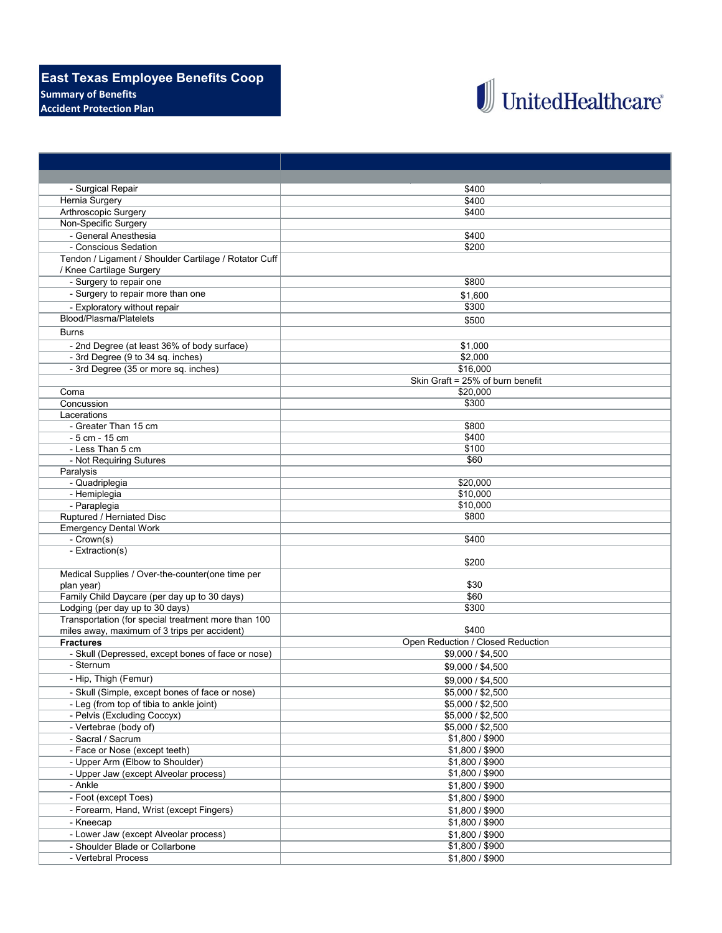## **East Texas Employee Benefits Coop Summary of Benefits Accident Protection Plan**



| - Surgical Repair                                     | \$400                             |
|-------------------------------------------------------|-----------------------------------|
| <b>Hernia Surgery</b>                                 | \$400                             |
| Arthroscopic Surgery                                  | \$400                             |
| Non-Specific Surgery                                  |                                   |
| - General Anesthesia                                  | \$400                             |
| - Conscious Sedation                                  | \$200                             |
| Tendon / Ligament / Shoulder Cartilage / Rotator Cuff |                                   |
| / Knee Cartilage Surgery                              |                                   |
| - Surgery to repair one                               | \$800                             |
| - Surgery to repair more than one                     | \$1,600                           |
| - Exploratory without repair                          | \$300                             |
| Blood/Plasma/Platelets                                | \$500                             |
| <b>Burns</b>                                          |                                   |
| - 2nd Degree (at least 36% of body surface)           | \$1,000                           |
| - 3rd Degree (9 to 34 sq. inches)                     | \$2,000                           |
| - 3rd Degree (35 or more sq. inches)                  | \$16,000                          |
|                                                       | Skin Graft = 25% of burn benefit  |
| Coma                                                  | \$20,000                          |
| Concussion                                            | \$300                             |
| Lacerations                                           |                                   |
| - Greater Than 15 cm                                  | \$800                             |
| - 5 cm - 15 cm                                        | \$400                             |
| - Less Than 5 cm                                      | \$100                             |
| - Not Requiring Sutures                               | \$60                              |
| Paralysis                                             |                                   |
| - Quadriplegia                                        | \$20,000                          |
| - Hemiplegia                                          | \$10,000                          |
| - Paraplegia                                          | \$10,000                          |
| Ruptured / Herniated Disc                             | \$800                             |
| <b>Emergency Dental Work</b><br>- Crown(s)            | \$400                             |
| - Extraction(s)                                       |                                   |
|                                                       | \$200                             |
| Medical Supplies / Over-the-counter(one time per      |                                   |
| plan year)                                            | \$30                              |
| Family Child Daycare (per day up to 30 days)          | \$60                              |
| Lodging (per day up to 30 days)                       | \$300                             |
| Transportation (for special treatment more than 100   |                                   |
| miles away, maximum of 3 trips per accident)          | \$400                             |
| <b>Fractures</b>                                      | Open Reduction / Closed Reduction |
| - Skull (Depressed, except bones of face or nose)     | \$9,000 / \$4,500                 |
| - Sternum                                             | \$9,000 / \$4,500                 |
| - Hip, Thigh (Femur)                                  | \$9,000 / \$4,500                 |
| - Skull (Simple, except bones of face or nose)        | \$5,000 / \$2,500                 |
| - Leg (from top of tibia to ankle joint)              | \$5,000 / \$2,500                 |
| - Pelvis (Excluding Coccyx)                           | \$5,000 / \$2,500                 |
| - Vertebrae (body of)                                 | \$5,000 / \$2,500                 |
| - Sacral / Sacrum                                     | \$1,800 / \$900                   |
| - Face or Nose (except teeth)                         | \$1,800 / \$900                   |
| - Upper Arm (Elbow to Shoulder)                       | \$1,800 / \$900                   |
| - Upper Jaw (except Alveolar process)                 | \$1,800 / \$900                   |
| - Ankle                                               | \$1,800 / \$900                   |
| - Foot (except Toes)                                  | \$1,800 / \$900                   |
| - Forearm, Hand, Wrist (except Fingers)               | \$1,800 / \$900                   |
| - Kneecap                                             | \$1,800 / \$900                   |
| - Lower Jaw (except Alveolar process)                 | \$1,800 / \$900                   |
| - Shoulder Blade or Collarbone                        | \$1,800 / \$900                   |
| - Vertebral Process                                   | \$1,800 / \$900                   |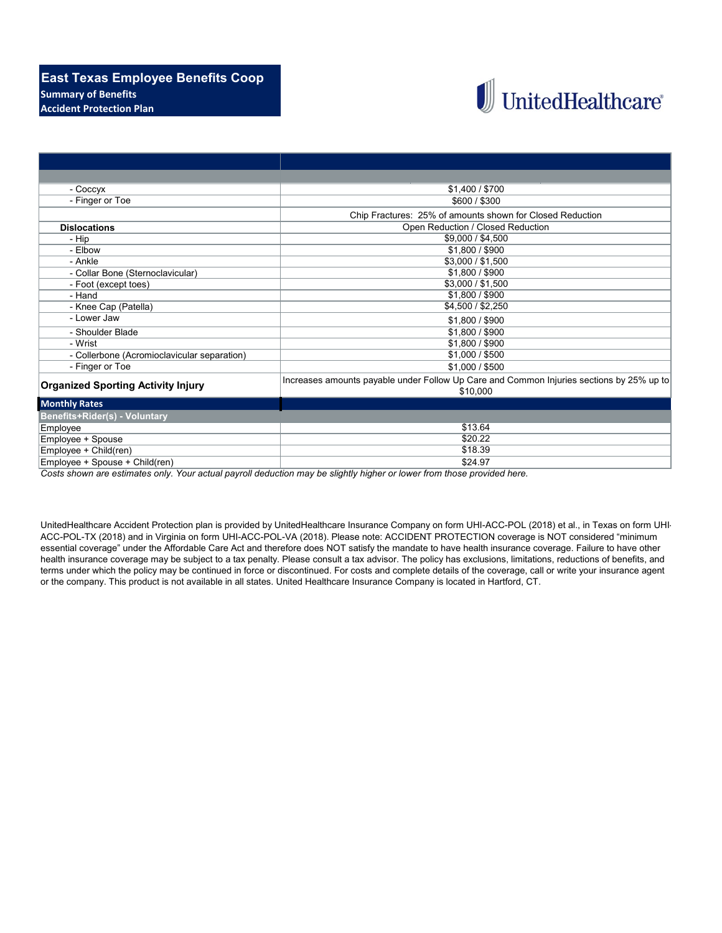## **East Texas Employee Benefits Coop Summary of Benefits Accident Protection Plan**



| - Coccyx                                    | \$1,400 / \$700                                                                          |
|---------------------------------------------|------------------------------------------------------------------------------------------|
| - Finger or Toe                             | \$600 / \$300                                                                            |
|                                             | Chip Fractures: 25% of amounts shown for Closed Reduction                                |
| <b>Dislocations</b>                         | Open Reduction / Closed Reduction                                                        |
| - Hip                                       | \$9,000 / \$4,500                                                                        |
| - Elbow                                     | \$1,800 / \$900                                                                          |
| - Ankle                                     | \$3,000 / \$1,500                                                                        |
| - Collar Bone (Sternoclavicular)            | \$1,800 / \$900                                                                          |
| - Foot (except toes)                        | \$3,000 / \$1,500                                                                        |
| - Hand                                      | \$1,800 / \$900                                                                          |
| - Knee Cap (Patella)                        | \$4,500 / \$2,250                                                                        |
| - Lower Jaw                                 | \$1,800 / \$900                                                                          |
| - Shoulder Blade                            | \$1,800 / \$900                                                                          |
| - Wrist                                     | \$1,800 / \$900                                                                          |
| - Collerbone (Acromioclavicular separation) | \$1,000 / \$500                                                                          |
| - Finger or Toe                             | \$1,000 / \$500                                                                          |
| <b>Organized Sporting Activity Injury</b>   | Increases amounts payable under Follow Up Care and Common Injuries sections by 25% up to |
|                                             | \$10,000                                                                                 |
| <b>Monthly Rates</b>                        |                                                                                          |
| Benefits+Rider(s) - Voluntary               |                                                                                          |
| Employee                                    | \$13.64                                                                                  |
| Employee + Spouse                           | \$20.22                                                                                  |
| Employee + Child(ren)                       | \$18.39                                                                                  |
| Employee + Spouse + Child(ren)              | \$24.97                                                                                  |

*Costs shown are estimates only. Your actual payroll deduction may be slightly higher or lower from those provided here.*

UnitedHealthcare Accident Protection plan is provided by UnitedHealthcare Insurance Company on form UHI-ACC-POL (2018) et al., in Texas on form UHI-ACC-POL-TX (2018) and in Virginia on form UHI-ACC-POL-VA (2018). Please note: ACCIDENT PROTECTION coverage is NOT considered "minimum essential coverage" under the Affordable Care Act and therefore does NOT satisfy the mandate to have health insurance coverage. Failure to have other health insurance coverage may be subject to a tax penalty. Please consult a tax advisor. The policy has exclusions, limitations, reductions of benefits, and terms under which the policy may be continued in force or discontinued. For costs and complete details of the coverage, call or write your insurance agent or the company. This product is not available in all states. United Healthcare Insurance Company is located in Hartford, CT.